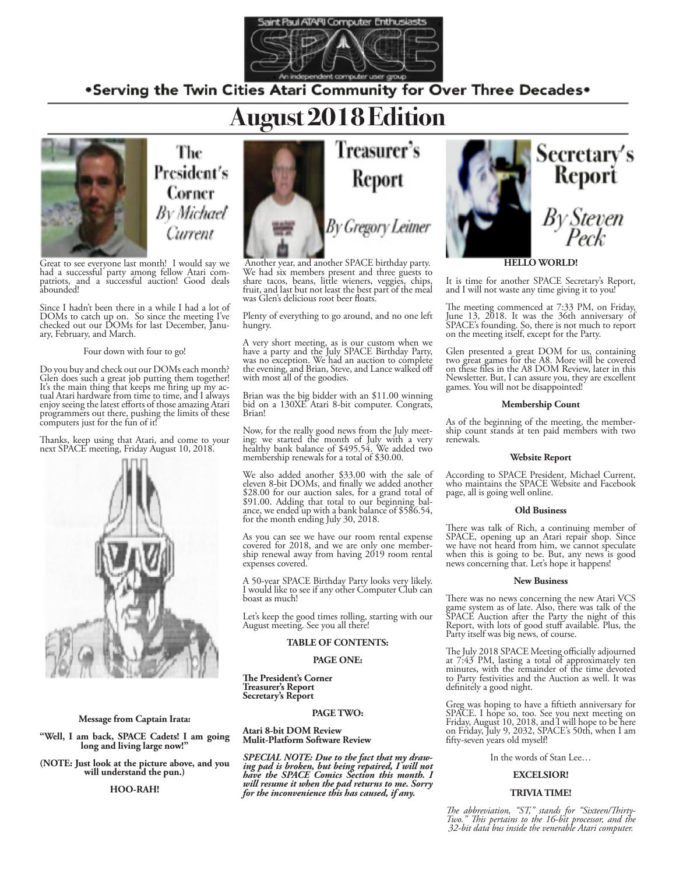

.Serving the Twin Cities Atari Community for Over Three Decades.

## **August 2018 Edition**



The President's Corner **By Michael** Current

Great to see everyone last month! I would say we had a successful party among fellow Atari com-<br>patriots, and a successful auction! Good deals abounded!

Since I hadn't been there in a while I had a lot of DOMs to catch up on. So since the meeting I've checked out our DOMs for last December, Janu-<br>ary, February, and March.

### Four down with four to go!

Do you buy and check out our DOMs each month? Glen does such a great job putting them together!<br>It's the main thing that keeps me firing up my actual Atari hardware from time to time, and I always enjoy seeing the latest efforts of those amazing Atari programmers out there, pushing the limits of these computers just for the fun of it!

Thanks, keep using that Atari, and come to your next SPACE meeting, Friday August 10, 2018.



### **Message from Captain Irata:**

**"Well, I am back, SPACE Cadets! I am going long and living large now!"**

**(NOTE: Just look at the picture above, and you will understand the pun.)**

**HOO-RAH!**



Another year, and another SPACE birthday party. We had six members present and three guests to share tacos, beans, little wieners, veggies, chips, fruit, and last but not least the best part of the meal was Glen's delicious root beer floats.

Plenty of everything to go around, and no one left hungry.

A very short meeting, as is our custom when we have a party and the July SPACE Birthday Party, was no exception. We had an auction to complete the evening, and Brian, Steve, and Lance walked off with most all of the goodies.

Brian was the big bidder with an \$11.00 winning bid on a 130XE Atari 8-bit computer. Congrats, Brian!

Now, for the really good news from the July meet- ing: we started the month of July with a very healthy bank balance of \$495.54. We added two membership renewals for a total of \$30.00.

We also added another \$33.00 with the sale of eleven 8-bit DOMs, and finally we added another \$28.00 for our auction sales, for a grand total of \$91.00. Adding that total to our beginning bal- ance, we ended up with a bank balance of \$586.54, for the month ending July 30, 2018.

As you can see we have our room rental expense covered for 2018, and we are only one member- ship renewal away from having 2019 room rental expenses covered.

A 50-year SPACE Birthday Party looks very likely. I would like to see if any other Computer Club can boast as much!

Let's keep the good times rolling, starting with our August meeting. See you all there!

### **TABLE OF CONTENTS:**

### **PAGE ONE:**

**The President's Corner Treasurer's Report Secretary's Report**

### **PAGE TWO:**

**Atari 8-bit DOM Review Mulit-Platform Software Review**

*SPECIAL NOTE: Due to the fact that my draw- ing pad is broken, but being repaired, I will not have the SPACE Comics Section this month. I will resume it when the pad returns to me. Sorry for the inconvenience this has caused, if any.*



### **HELLO WORLD!**

It is time for another SPACE Secretary's Report, and I will not waste any time giving it to you!

The meeting commenced at 7:33 PM, on Friday, June 13, 2018. It was the 36th anniversary of SPACE's founding. So, there is not much to report on the meeting itself, except for the Party.

Glen presented a great DOM for us, containing two great games for the A8. More will be covered on these files in the A8 DOM Review, later in this Newsletter. But, I can assure you, they are excellent games. You will not be disappointed!

### **Membership Count**

As of the beginning of the meeting, the member- ship count stands at ten paid members with two renewals.

### **Website Report**

According to SPACE President, Michael Current, who maintains the SPACE Website and Facebook page, all is going well online.

### **Old Business**

There was talk of Rich, a continuing member of SPACE, opening up an Atari repair shop. Since we have not heard from him, we cannot speculate when this is going to be. But, any news is good news concerning that. Let's hope it happens!

### **New Business**

There was no news concerning the new Atari VCS game system as of late. Also, there was talk of the SPACE Auction after the Party the night of this Report, with lots of good stuff available. Plus, the Party itself was big news, of course.

The July 2018 SPACE Meeting officially adjourned at 7:43 PM, lasting a total of approximately ten minutes, with the remainder of the time devoted to Party festivities and the Auction as well. It was definitely a good night.

Greg was hoping to have a fiftieth anniversary for SPACE. I hope so, too. See you next meeting on Friday, August 10, 2018, and I will hope to be here on Friday, July 9, 2032, SPACE's 50th, when I am fifty-seven years old myself!

In the words of Stan Lee…

### **EXCELSIOR!**

### **TRIVIA TIME!**

*The abbreviation, "ST," stands for "Sixteen/Thirty-Two." This pertains to the 16-bit processor, and the 32-bit data bus inside the venerable Atari computer.*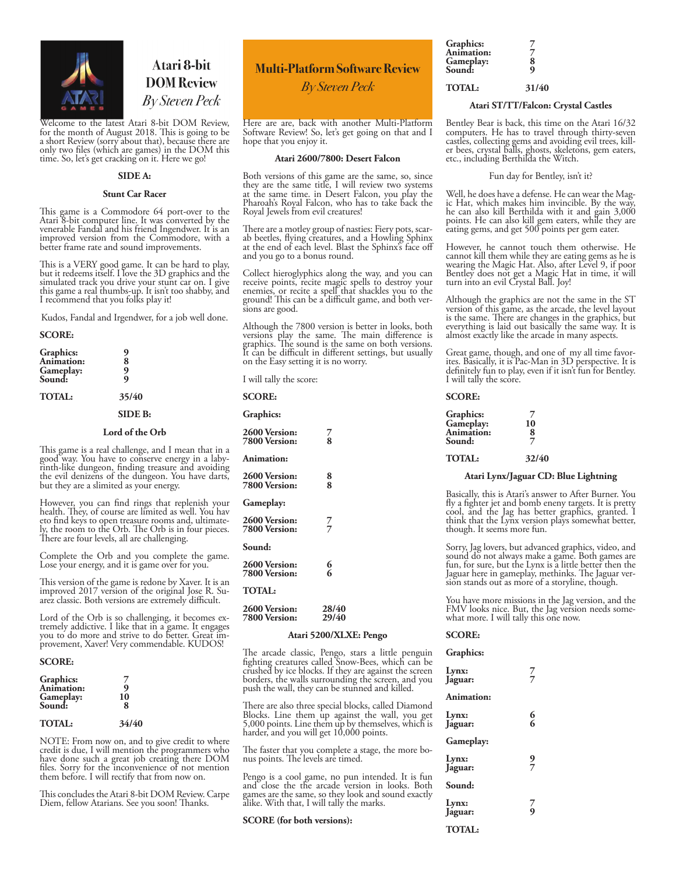

### Atari 8-bit **DOM Review** By Steven Peck

Welcome to the latest Atari 8-bit DOM Review, for the month of August 2018. This is going to be a short Review (sorry about that), because there are only two files (which are games) in the DOM this time. So, let's get cracking on it. Here we go!

### **SIDE A:**

### **Stunt Car Racer**

This game is a Commodore 64 port-over to the Atari 8-bit computer line. It was converted by the venerable Fandal and his friend Ingendwer. It is an improved version from the Commodore, with a better frame rate and sound improvements.

This is a VERY good game. It can be hard to play, but it redeems itself. I love the 3D graphics and the simulated track you drive your stunt car on. I give this game a real thumbs-up. It isn't too shabby, and I recommend that you folks play it!

Kudos, Fandal and Irgendwer, for a job well done.

#### **SCORE:**

| Graphics:<br>Animation:<br>Gameplay:<br>Sound: | 9<br>8<br>9<br>٠, |  |
|------------------------------------------------|-------------------|--|
| <b>TOTAL:</b>                                  | 35/40             |  |
|                                                | <b>SIDE B:</b>    |  |
|                                                | Lord of the Orb   |  |

This game is a real challenge, and I mean that in a good way. You have to conserve energy in a laby- rinth-like dungeon, finding treasure and avoiding the evil denizens of the dungeon. You have darts, but they are a slimited as your energy.

However, you can find rings that replenish your health. They, of course are limited as well. You hav eto find keys to open treasure rooms and, ultimate- ly, the room to the Orb. The Orb is in four pieces. There are four levels, all are challenging.

Complete the Orb and you complete the game. Lose your energy, and it is game over for you.

This version of the game is redone by Xaver. It is an improved 2017 version of the original Jose R. Suarez classic. Both versions are extremely difficult.

Lord of the Orb is so challenging, it becomes ex- tremely addictive. I like that in a game. It engages you to do more and strive to do better. Great im- provement, Xaver! Very commendable. KUDOS!

### **SCORE:**

| <b>Graphics:</b><br>Animation:<br>Gameplay:<br>Sound: | 10<br>я |  |
|-------------------------------------------------------|---------|--|
| <b>TOTAL:</b>                                         | 34/40   |  |

NOTE: From now on, and to give credit to where credit is due, I will mention the programmers who have done such a great job creating there DOM files. Sorry for the inconvenience of not mention them before. I will rectify that from now on.

This concludes the Atari 8-bit DOM Review. Carpe Diem, fellow Atarians. See you soon! Thanks.

### **Multi-Platform Software Review**

*By Steven Peck*

Here are are, back with another Multi-Platform Software Review! So, let's get going on that and I hope that you enjoy it.

### **Atari 2600/7800: Desert Falcon**

Both versions of this game are the same, so, since they are the same title, I will review two systems at the same time. in Desert Falcon, you play the Pharoah's Royal Falcon, who has to take back the Royal Jewels from evil creatures!

There are a motley group of nasties: Fiery pots, scar- ab beetles, flying creatures, and a Howling Sphinx at the end of each level. Blast the Sphinx's face off and you go to a bonus round.

Collect hieroglyphics along the way, and you can receive points, recite magic spells to destroy your enemies, or recite a spell that shackles you to the ground! This can be a difficult game, and both ver- sions are good.

Although the 7800 version is better in looks, both versions play the same. The main difference is graphics. The sound is the same on both versions. It can be difficult in different settings, but usually on the Easy setting it is no worry.

I will tally the score:

| <b>SCORE:</b>                         |                       |  |
|---------------------------------------|-----------------------|--|
| Graphics:                             |                       |  |
| <b>2600 Version:</b><br>7800 Version: | $\frac{7}{8}$         |  |
| <b>Animation:</b>                     |                       |  |
| 2600 Version:<br>7800 Version:        | 8<br>8                |  |
| Gameplay:                             |                       |  |
| 2600 Version:<br>7800 Version:        | 7<br>7                |  |
| Sound:                                |                       |  |
| 2600 Version:<br>7800 Version:        | 6<br>6                |  |
| <b>TOTAL:</b>                         |                       |  |
| 2600 Version:<br>7800 Version:        | 28/40<br><b>29/40</b> |  |

### **Atari 5200/XLXE: Pengo**

The arcade classic, Pengo, stars a little penguin fighting creatures called Snow-Bees, which can be crushed by ice blocks. If they are against the screen borders, the walls surrounding the screen, and you push the wall, they can be stunned and killed.

There are also three special blocks, called Diamond Blocks. Line them up against the wall, you get 5,000 points. Line them up by themselves, which is harder, and you will get 10,000 points.

The faster that you complete a stage, the more bo- nus points. The levels are timed.

Pengo is a cool game, no pun intended. It is fun and close the the arcade version in looks. Both games are the same, so they look and sound exactly alike. With that, I will tally the marks.

### **SCORE (for both versions):**

| Graphics:         |   |
|-------------------|---|
| <b>Animation:</b> |   |
| Gameplay:         | 8 |
| Sound:            | q |
|                   |   |

### **TOTAL: 31/40**

### **Atari ST/TT/Falcon: Crystal Castles**

Bentley Bear is back, this time on the Atari 16/32 computers. He has to travel through thirty-seven castles, collecting gems and avoiding evil trees, kill- er bees, crystal balls, ghosts, skeletons, gem eaters, etc., including Berthilda the Witch.

### Fun day for Bentley, isn't it?

Well, he does have a defense. He can wear the Mag-<br>ic Hat, which makes him invincible. By the way, he can also kill Berthilda with it and gain 3,000 points. He can also kill gem eaters, while they are eating gems, and get 500 points per gem eater.

However, he cannot touch them otherwise. He cannot kill them while they are eating gems as he is wearing the Magic Hat. Also, after Level 9, if poor Bentley does not get a Magic Hat in time, it will turn into an evil Crystal Ball. Joy!

Although the graphics are not the same in the ST version of this game, as the arcade, the level layout is the same. There are changes in the graphics, but everything is laid out basically the same way. It is almost exactly like the arcade in many aspects.

Great game, though, and one of my all time favor- ites. Basically, it is Pac-Man in 3D perspective. It is definitely fun to play, even if it isn't fun for Bentley. I will tally the score.

### **SCORE:**

| Graphics:         | 7  |
|-------------------|----|
| Gameplay:         | 10 |
| <b>Animation:</b> | 8  |
| Sound:            | 7  |

### **TOTAL: 32/40**

#### **Atari Lynx/Jaguar CD: Blue Lightning**

Basically, this is Atari's answer to After Burner. You fly a fighter jet and bomb eneny targets. It is pretty cool, and the Jag has better graphics, granted. I think that the Lynx version plays somewhat better, though. It seems more fun.

Sorry, Jag lovers, but advanced graphics, video, and sound do not always make a game. Both games are fun, for sure, but the Lynx is a little better then the Jaguar here in gameplay, methinks. The Jaguar ver- sion stands out as more of a storyline, though.

You have more missions in the Jag version, and the FMV looks nice. But, the Jag version needs some- what more. I will tally this one now.

### **SCORE:**

**Graphics:**

| Lynx:<br>Jaguar:  | $\frac{7}{7}$ |
|-------------------|---------------|
| <b>Animation:</b> |               |
| Lynx:<br>Jaguar:  | 6<br>6        |
| Gameplay:         |               |
| Lynx:<br>Jaguar:  | $\frac{9}{7}$ |
| Sound:            |               |
| Lynx:<br>Jaguar:  | $\frac{7}{9}$ |
| <b>TOTAL:</b>     |               |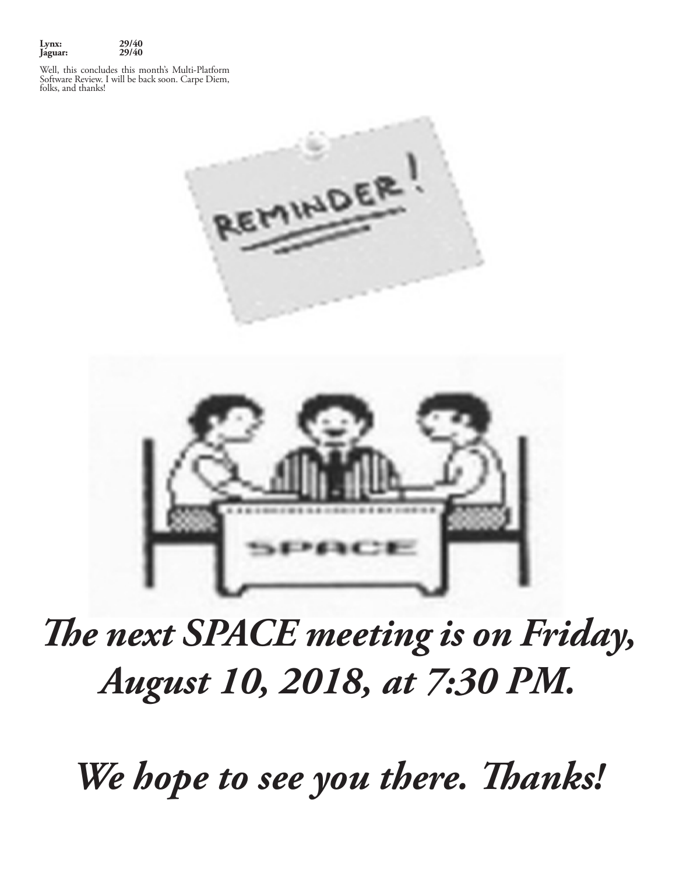

Well, this concludes this month's Multi-Platform Software Review. I will be back soon. Carpe Diem, folks, and thanks!





# *The next SPACE meeting is on Friday, August 10, 2018, at 7:30 PM.*

*We hope to see you there. Thanks!*